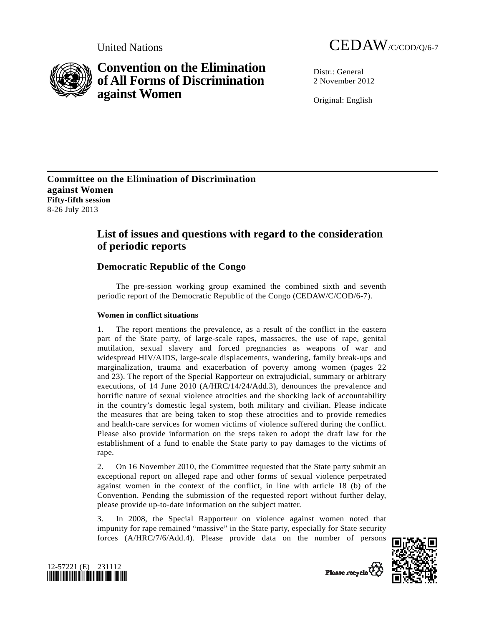

# **Convention on the Elimination of All Forms of Discrimination against Women**



Distr · General 2 November 2012

Original: English

**Committee on the Elimination of Discrimination against Women Fifty-fifth session**  8-26 July 2013

## **List of issues and questions with regard to the consideration of periodic reports**

## **Democratic Republic of the Congo**

 The pre-session working group examined the combined sixth and seventh periodic report of the Democratic Republic of the Congo (CEDAW/C/COD/6-7).

### **Women in conflict situations**

1. The report mentions the prevalence, as a result of the conflict in the eastern part of the State party, of large-scale rapes, massacres, the use of rape, genital mutilation, sexual slavery and forced pregnancies as weapons of war and widespread HIV/AIDS, large-scale displacements, wandering, family break-ups and marginalization, trauma and exacerbation of poverty among women (pages 22 and 23). The report of the Special Rapporteur on extrajudicial, summary or arbitrary executions, of 14 June 2010 (A/HRC/14/24/Add.3), denounces the prevalence and horrific nature of sexual violence atrocities and the shocking lack of accountability in the country's domestic legal system, both military and civilian. Please indicate the measures that are being taken to stop these atrocities and to provide remedies and health-care services for women victims of violence suffered during the conflict. Please also provide information on the steps taken to adopt the draft law for the establishment of a fund to enable the State party to pay damages to the victims of rape.

2. On 16 November 2010, the Committee requested that the State party submit an exceptional report on alleged rape and other forms of sexual violence perpetrated against women in the context of the conflict, in line with article 18 (b) of the Convention. Pending the submission of the requested report without further delay, please provide up-to-date information on the subject matter.

3. In 2008, the Special Rapporteur on violence against women noted that impunity for rape remained "massive" in the State party, especially for State security forces (A/HRC/7/6/Add.4). Please provide data on the number of persons



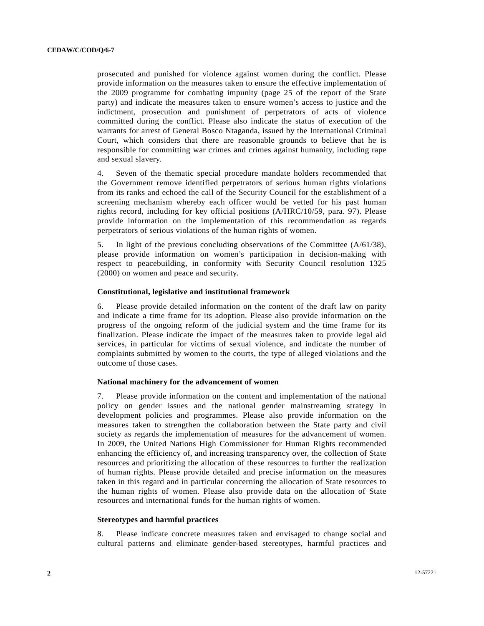prosecuted and punished for violence against women during the conflict. Please provide information on the measures taken to ensure the effective implementation of the 2009 programme for combating impunity (page 25 of the report of the State party) and indicate the measures taken to ensure women's access to justice and the indictment, prosecution and punishment of perpetrators of acts of violence committed during the conflict. Please also indicate the status of execution of the warrants for arrest of General Bosco Ntaganda, issued by the International Criminal Court, which considers that there are reasonable grounds to believe that he is responsible for committing war crimes and crimes against humanity, including rape and sexual slavery.

4. Seven of the thematic special procedure mandate holders recommended that the Government remove identified perpetrators of serious human rights violations from its ranks and echoed the call of the Security Council for the establishment of a screening mechanism whereby each officer would be vetted for his past human rights record, including for key official positions (A/HRC/10/59, para. 97). Please provide information on the implementation of this recommendation as regards perpetrators of serious violations of the human rights of women.

5. In light of the previous concluding observations of the Committee (A/61/38), please provide information on women's participation in decision-making with respect to peacebuilding, in conformity with Security Council resolution 1325 (2000) on women and peace and security.

#### **Constitutional, legislative and institutional framework**

6. Please provide detailed information on the content of the draft law on parity and indicate a time frame for its adoption. Please also provide information on the progress of the ongoing reform of the judicial system and the time frame for its finalization. Please indicate the impact of the measures taken to provide legal aid services, in particular for victims of sexual violence, and indicate the number of complaints submitted by women to the courts, the type of alleged violations and the outcome of those cases.

### **National machinery for the advancement of women**

7. Please provide information on the content and implementation of the national policy on gender issues and the national gender mainstreaming strategy in development policies and programmes. Please also provide information on the measures taken to strengthen the collaboration between the State party and civil society as regards the implementation of measures for the advancement of women. In 2009, the United Nations High Commissioner for Human Rights recommended enhancing the efficiency of, and increasing transparency over, the collection of State resources and prioritizing the allocation of these resources to further the realization of human rights. Please provide detailed and precise information on the measures taken in this regard and in particular concerning the allocation of State resources to the human rights of women. Please also provide data on the allocation of State resources and international funds for the human rights of women.

#### **Stereotypes and harmful practices**

8. Please indicate concrete measures taken and envisaged to change social and cultural patterns and eliminate gender-based stereotypes, harmful practices and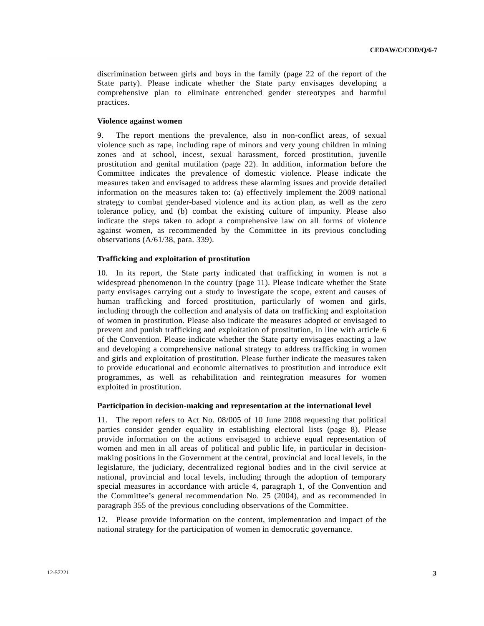discrimination between girls and boys in the family (page 22 of the report of the State party). Please indicate whether the State party envisages developing a comprehensive plan to eliminate entrenched gender stereotypes and harmful practices.

#### **Violence against women**

9. The report mentions the prevalence, also in non-conflict areas, of sexual violence such as rape, including rape of minors and very young children in mining zones and at school, incest, sexual harassment, forced prostitution, juvenile prostitution and genital mutilation (page 22). In addition, information before the Committee indicates the prevalence of domestic violence. Please indicate the measures taken and envisaged to address these alarming issues and provide detailed information on the measures taken to: (a) effectively implement the 2009 national strategy to combat gender-based violence and its action plan, as well as the zero tolerance policy, and (b) combat the existing culture of impunity. Please also indicate the steps taken to adopt a comprehensive law on all forms of violence against women, as recommended by the Committee in its previous concluding observations (A/61/38, para. 339).

#### **Trafficking and exploitation of prostitution**

10. In its report, the State party indicated that trafficking in women is not a widespread phenomenon in the country (page 11). Please indicate whether the State party envisages carrying out a study to investigate the scope, extent and causes of human trafficking and forced prostitution, particularly of women and girls, including through the collection and analysis of data on trafficking and exploitation of women in prostitution. Please also indicate the measures adopted or envisaged to prevent and punish trafficking and exploitation of prostitution, in line with article 6 of the Convention. Please indicate whether the State party envisages enacting a law and developing a comprehensive national strategy to address trafficking in women and girls and exploitation of prostitution. Please further indicate the measures taken to provide educational and economic alternatives to prostitution and introduce exit programmes, as well as rehabilitation and reintegration measures for women exploited in prostitution.

#### **Participation in decision-making and representation at the international level**

11. The report refers to Act No. 08/005 of 10 June 2008 requesting that political parties consider gender equality in establishing electoral lists (page 8). Please provide information on the actions envisaged to achieve equal representation of women and men in all areas of political and public life, in particular in decisionmaking positions in the Government at the central, provincial and local levels, in the legislature, the judiciary, decentralized regional bodies and in the civil service at national, provincial and local levels, including through the adoption of temporary special measures in accordance with article 4, paragraph 1, of the Convention and the Committee's general recommendation No. 25 (2004), and as recommended in paragraph 355 of the previous concluding observations of the Committee.

12. Please provide information on the content, implementation and impact of the national strategy for the participation of women in democratic governance.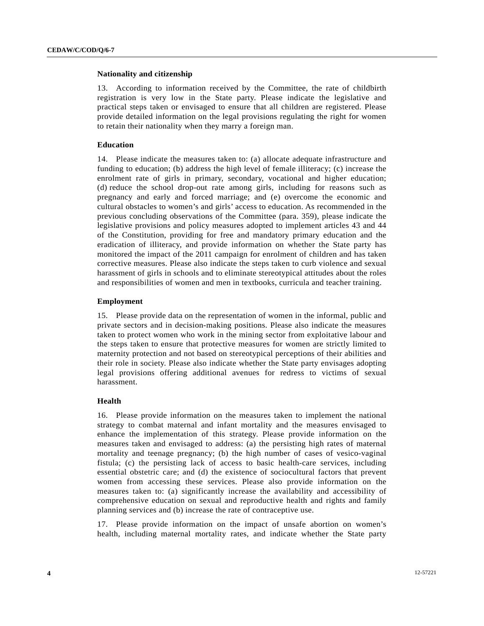#### **Nationality and citizenship**

13. According to information received by the Committee, the rate of childbirth registration is very low in the State party. Please indicate the legislative and practical steps taken or envisaged to ensure that all children are registered. Please provide detailed information on the legal provisions regulating the right for women to retain their nationality when they marry a foreign man.

#### **Education**

14. Please indicate the measures taken to: (a) allocate adequate infrastructure and funding to education; (b) address the high level of female illiteracy; (c) increase the enrolment rate of girls in primary, secondary, vocational and higher education; (d) reduce the school drop-out rate among girls, including for reasons such as pregnancy and early and forced marriage; and (e) overcome the economic and cultural obstacles to women's and girls' access to education. As recommended in the previous concluding observations of the Committee (para. 359), please indicate the legislative provisions and policy measures adopted to implement articles 43 and 44 of the Constitution, providing for free and mandatory primary education and the eradication of illiteracy, and provide information on whether the State party has monitored the impact of the 2011 campaign for enrolment of children and has taken corrective measures. Please also indicate the steps taken to curb violence and sexual harassment of girls in schools and to eliminate stereotypical attitudes about the roles and responsibilities of women and men in textbooks, curricula and teacher training.

#### **Employment**

15. Please provide data on the representation of women in the informal, public and private sectors and in decision-making positions. Please also indicate the measures taken to protect women who work in the mining sector from exploitative labour and the steps taken to ensure that protective measures for women are strictly limited to maternity protection and not based on stereotypical perceptions of their abilities and their role in society. Please also indicate whether the State party envisages adopting legal provisions offering additional avenues for redress to victims of sexual harassment.

#### **Health**

16. Please provide information on the measures taken to implement the national strategy to combat maternal and infant mortality and the measures envisaged to enhance the implementation of this strategy. Please provide information on the measures taken and envisaged to address: (a) the persisting high rates of maternal mortality and teenage pregnancy; (b) the high number of cases of vesico-vaginal fistula; (c) the persisting lack of access to basic health-care services, including essential obstetric care; and (d) the existence of sociocultural factors that prevent women from accessing these services. Please also provide information on the measures taken to: (a) significantly increase the availability and accessibility of comprehensive education on sexual and reproductive health and rights and family planning services and (b) increase the rate of contraceptive use.

17. Please provide information on the impact of unsafe abortion on women's health, including maternal mortality rates, and indicate whether the State party